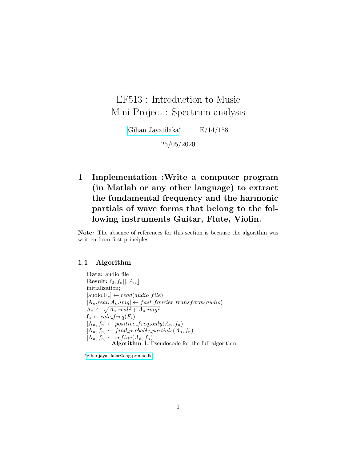# EF513 : Introduction to Music Mini Project : Spectrum analysis

[Gihan Jayatilaka](https://gihan.me)<sup>∗</sup> E/14/158

25/05/2020

1 Implementation :Write a computer program (in Matlab or any other language) to extract the fundamental frequency and the harmonic partials of wave forms that belong to the following instruments Guitar, Flute, Violin.

Note: The absence of references for this section is because the algorithm was written from first principles.

#### 1.1 Algorithm

Data: audio\_file **Result:**  $f_0, f_n[, A_n[]$ initialization;  $[audio,F_s] \leftarrow read(audio_file)$  $[A_n.read, A_nimg] \leftarrow fast_fourier\_transform(audio)$  $A_n \leftarrow \sqrt{A_n.read^2 + A_n img^2}$  $f_n \leftarrow calc\_freq(F_s)$  $[A_n, f_n] \leftarrow positive\_freq\_only(A_n, f_n)$  $[A_n, f_n] \leftarrow find\_probable\_partials(A_n, f_n)$  $[A_n, f_n] \leftarrow refine(A_n, f_n)$ Algorithm 1: Pseudocode for the full algorithm

<sup>∗</sup>[gihanjayatilaka@eng.pdn.ac.lk](mailto:gihanjayatilaka@eng.pdn.ac.lk)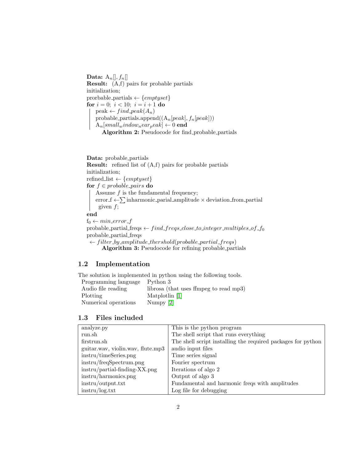Data:  $A_n[[, f_n]]$ Result: (A,f) pairs for probable partials initialization; prorbable partials  $\leftarrow$  {*emptyset*} for  $i = 0$ ;  $i < 10$ ;  $i = i + 1$  do  $peak \leftarrow find\_peak(A_n)$ probable partials.append $((A_n[peak], f_n[peak]))$  $A_n[small_window_near_peak] \leftarrow 0$  end Algorithm 2: Pseudocode for find probable partials

Data: probable\_partials Result: refined list of (A,f) pairs for probable partials initialization;  $\textit{refined\_list} \gets \{emptyset\}$ for  $f \in probable\_pairs$  do Assume  $f$  is the fundamental frequency; error  $f \leftarrow \sum$  inharmonic parial amplitude  $\times$  deviation from partial given  $f$ ; end  $f_0 \leftarrow min\_error_f$ probable partial freqs  $\leftarrow find\_freqs\_close\_to\_integer\_multiples\_of\_f_0$ probable partial freqs  $\leftarrow filter\_by\_amplitude\_threshold(probable\_partial\_freqs)$ Algorithm 3: Pseudocode for refining probable partials

# 1.2 Implementation

The solution is implemented in python using the following tools.

```
Programming language Python 3
Audio file reading librosa (that uses fimpeg to read mp3)
[1]
Numerical operations Numpy [2]
```
### 1.3 Files included

| analyze.py                        | This is the python program                                   |
|-----------------------------------|--------------------------------------------------------------|
| run.sh                            | The shell script that runs everything                        |
| firstrun.sh                       | The shell script installing the required packages for python |
| guitar way, violin way, flute mp3 | audio input files                                            |
| instru/timeSeries.png             | Time series signal                                           |
| instru/freqSpectrum.png           | Fourier spectrum                                             |
| $instru/partial-finding-XX.png$   | Iterations of algo 2                                         |
| instru/harmonics.png              | Output of algo 3                                             |
| instru/output.txt                 | Fundamental and harmonic freqs with amplitudes               |
| instru/log.txt                    | Log file for debugging                                       |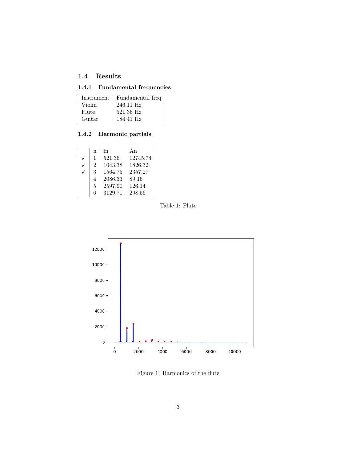# 1.4 Results

# 1.4.1 Fundamental frequencies

| Instrument | Fundamental freq |
|------------|------------------|
| Violin     | 246.11 Hz        |
| Flute      | 521.36 Hz        |
| Guitar     | 184.41 Hz        |

#### 1.4.2 Harmonic partials

| n             | fn      | Αn       |
|---------------|---------|----------|
| 1             | 521.36  | 12745.74 |
| $\mathcal{D}$ | 1043.38 | 1826.32  |
| 3             | 1564.75 | 2357.27  |
| 4             | 2086.33 | 89.16    |
| 5             | 2597.90 | 126.14   |
| 6             | 3129.71 | 298.56   |





Figure 1: Harmonics of the flute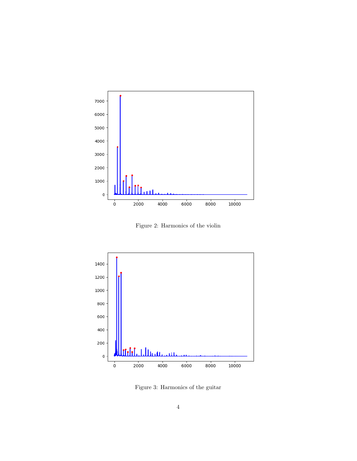

Figure 2: Harmonics of the violin



Figure 3: Harmonics of the guitar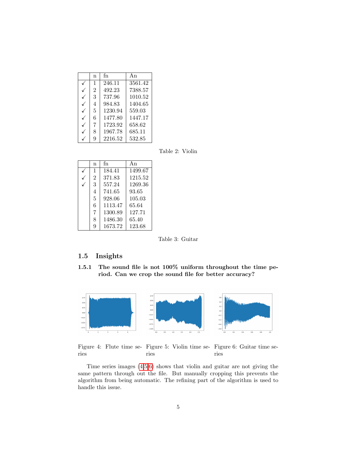| n              | fn      | Αn      |
|----------------|---------|---------|
| $\mathbf{1}$   | 246.11  | 3561.42 |
| $\overline{2}$ | 492.23  | 7388.57 |
| 3              | 737.96  | 1010.52 |
| 4              | 984.83  | 1404.65 |
| 5              | 1230.94 | 559.03  |
| 6              | 1477.80 | 1447.17 |
| 7              | 1723.92 | 658.62  |
| 8              | 1967.78 | 685.11  |
| 9              | 2216.52 | 532.85  |

Table 2: Violin

| n              | fn      | Αn      |
|----------------|---------|---------|
| $\mathbf{1}$   | 184.41  | 1499.67 |
| $\overline{2}$ | 371.83  | 1215.52 |
| 3              | 557.24  | 1269.36 |
| 4              | 741.65  | 93.65   |
| 5              | 928.06  | 105.03  |
| 6              | 1113.47 | 65.64   |
| 7              | 1300.89 | 127.71  |
| 8              | 1486.30 | 65.40   |
| 9              | 1673.72 | 123.68  |

<span id="page-4-2"></span>Table 3: Guitar

# 1.5 Insights

1.5.1 The sound file is not 100% uniform throughout the time period. Can we crop the sound file for better accuracy?



<span id="page-4-1"></span><span id="page-4-0"></span>Figure 4: Flute time se-Figure 5: Violin time se-Figure 6: Guitar time series ries ries

Time series images [\(4,](#page-4-0)[5,](#page-4-1)[6\)](#page-4-2) shows that violin and guitar are not giving the same pattern through out the file. But manually cropping this prevents the algorithm from being automatic. The refining part of the algorithm is used to handle this issue.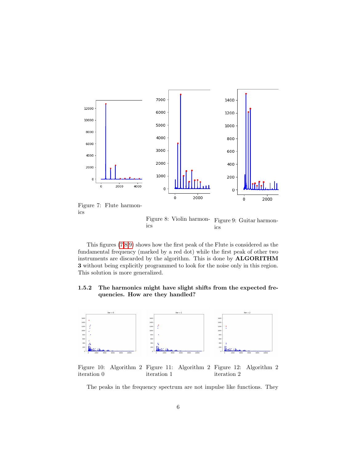

<span id="page-5-0"></span>

<span id="page-5-2"></span><span id="page-5-1"></span>Figure 8: Violin harmonics Figure 9: Guitar harmonics

This figures [\(7,](#page-5-0)[8,](#page-5-1)[9\)](#page-5-2) shows how the first peak of the Flute is considered as the fundamental frequency (marked by a red dot) while the first peak of other two instruments are discarded by the algorithm. This is done by ALGORITHM 3 without being explicitly programmed to look for the noise only in this region. This solution is more generalized.

#### 1.5.2 The harmonics might have slight shifts from the expected frequencies. How are they handled?



Figure 10: Algorithm 2 Figure 11: Algorithm 2 iteration 0 iteration 1 Algorithm 2 iteration 2

<span id="page-5-4"></span><span id="page-5-3"></span>The peaks in the frequency spectrum are not impulse like functions. They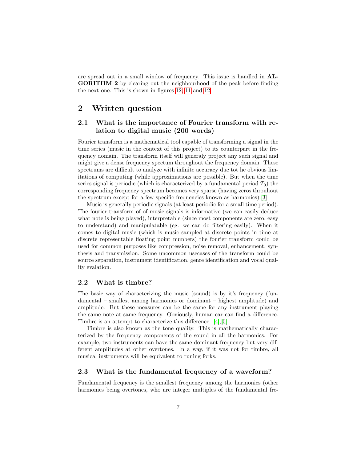are spread out in a small window of frequency. This issue is handled in AL-GORITHM 2 by clearing out the neighbourhood of the peak before finding the next one. This is shown in figures [12,](#page-5-3) [11](#page-5-4) and [12](#page-5-3)

# 2 Written question

# 2.1 What is the importance of Fourier transform with relation to digital music (200 words)

Fourier transform is a mathematical tool capable of transforming a signal in the time series (music in the context of this project) to its counterpart in the frequency domain. The transform itself will generaly project any such signal and might give a dense frequency spectum throughout the frequency domain. These spectrums are difficult to analyze with infinite accuracy due tot he obvious limitations of computing (while approximations are possible). But when the time series signal is periodic (which is characterized by a fundamental period  $T_0$ ) the corresponding frequency spectrum becomes very sparse (having zeros throuhout the spectrum except for a few specific frequencies known as harmonics).[\[3\]](#page-8-0)

Music is generally periodic signals (at least periodic for a small time period). The fourier transform of of music signals is informative (we can easily deduce what note is being played), interpretable (since most components are zero, easy to understand) and manipulatable (eg: we can do filtering easily). When it comes to digital music (which is music sampled at discrete points in time at discrete representable floating point numbers) the fourier transform could be used for common purposes like compression, noise removal, enhancement, synthesis and transmission. Some uncommon usecases of the transform could be source separation, instrument identification, genre identification and vocal quality evalation.

#### 2.2 What is timbre?

The basic way of characterizing the music (sound) is by it's frequency (fundamental – smallest among harmonics or dominant – highest amplitude) and amplitude. But these measures can be the same for any instrument playing the same note at same frequency. Obviously, human ear can find a difference. Timbre is an attempt to characterize this difference. [\[4\]](#page-8-1),[\[5\]](#page-8-2)

Timbre is also known as the tone quality. This is mathematically characterized by the frequency components of the sound in all the harmonics. For example, two instruments can have the same dominant frequency but very different amplitudes at other overtones. In a way, if it was not for timbre, all musical instruments will be equivalent to tuning forks.

#### 2.3 What is the fundamental frequency of a waveform?

Fundamental frequency is the smallest frequency among the harmonics (other harmonics being overtones, who are integer multiples of the fundamental fre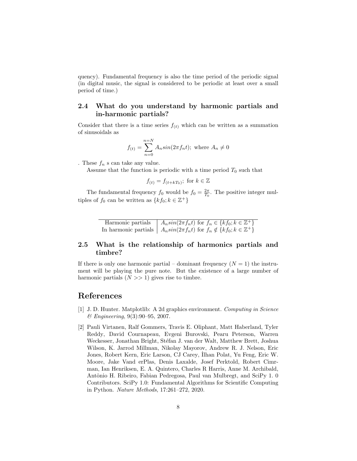quency). Fundamental frequency is also the time period of the periodic signal (in digital music, the signal is considered to be periodic at least over a small period of time.)

## 2.4 What do you understand by harmonic partials and in-harmonic partials?

Consider that there is a time series  $f(t)$  which can be written as a summation of sinusoidals as

$$
f_{(t)} = \sum_{n=0}^{n=N} A_n \sin(2\pi f_n t); \text{ where } A_n \neq 0
$$

. These  $f_n$  s can take any value.

Assume that the function is periodic with a time period  $T_0$  such that

 $f(t) = f(t + kT_0)$ ; for  $k \in \mathbb{Z}$ 

The fundamental frequency  $f_0$  would be  $f_0 = \frac{2\pi}{T_0}$ . The positive integer multiples of  $f_0$  can be written as  $\{kf_0; k \in \mathbb{Z}^+\}$ 

> Harmonic partials  $\left| A_n sin(2\pi f_n t) \right|$  for  $f_n \in \{ k f_0; k \in \mathbb{Z}^+ \}$ In harmonic partials  $\left| A_n sin(2\pi f_n t) \right|$  for  $f_n \notin \{ k f_0; k \in \mathbb{Z}^+ \}$

# 2.5 What is the relationship of harmonics partials and timbre?

If there is only one harmonic partial – dominant frequency  $(N = 1)$  the instrument will be playing the pure note. But the existence of a large number of harmonic partials  $(N \gg 1)$  gives rise to timbre.

# References

- <span id="page-7-0"></span>[1] J. D. Hunter. Matplotlib: A 2d graphics environment. Computing in Science & Engineering, 9(3):90–95, 2007.
- <span id="page-7-1"></span>[2] Pauli Virtanen, Ralf Gommers, Travis E. Oliphant, Matt Haberland, Tyler Reddy, David Cournapeau, Evgeni Burovski, Pearu Peterson, Warren Weckesser, Jonathan Bright, Stéfan J. van der Walt, Matthew Brett, Joshua Wilson, K. Jarrod Millman, Nikolay Mayorov, Andrew R. J. Nelson, Eric Jones, Robert Kern, Eric Larson, CJ Carey, İlhan Polat, Yu Feng, Eric W. Moore, Jake Vand erPlas, Denis Laxalde, Josef Perktold, Robert Cimrman, Ian Henriksen, E. A. Quintero, Charles R Harris, Anne M. Archibald, Antônio H. Ribeiro, Fabian Pedregosa, Paul van Mulbregt, and SciPy 1. 0 Contributors. SciPy 1.0: Fundamental Algorithms for Scientific Computing in Python. Nature Methods, 17:261–272, 2020.